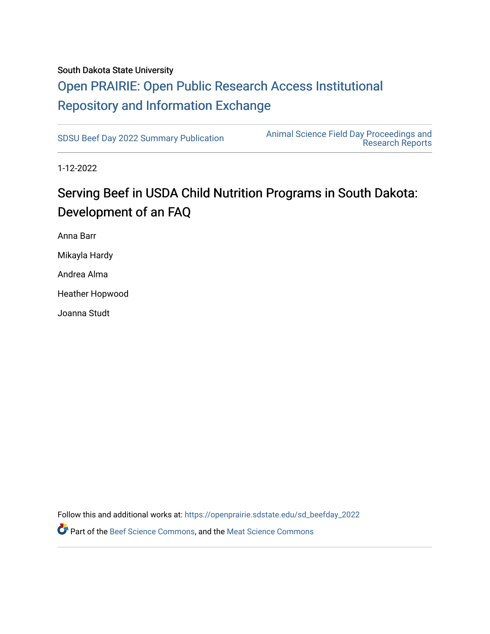#### South Dakota State University

## [Open PRAIRIE: Open Public Research Access Institutional](https://openprairie.sdstate.edu/)  [Repository and Information Exchange](https://openprairie.sdstate.edu/)

[SDSU Beef Day 2022 Summary Publication](https://openprairie.sdstate.edu/sd_beefday_2022) [Animal Science Field Day Proceedings and](https://openprairie.sdstate.edu/ans_reports)  [Research Reports](https://openprairie.sdstate.edu/ans_reports) 

1-12-2022

## Serving Beef in USDA Child Nutrition Programs in South Dakota: Development of an FAQ

Anna Barr Mikayla Hardy

Andrea Alma

Heather Hopwood

Joanna Studt

Follow this and additional works at: [https://openprairie.sdstate.edu/sd\\_beefday\\_2022](https://openprairie.sdstate.edu/sd_beefday_2022?utm_source=openprairie.sdstate.edu%2Fsd_beefday_2022%2F2&utm_medium=PDF&utm_campaign=PDFCoverPages)  **C**<sup> $\bullet$ </sup> Part of the [Beef Science Commons,](http://network.bepress.com/hgg/discipline/1404?utm_source=openprairie.sdstate.edu%2Fsd_beefday_2022%2F2&utm_medium=PDF&utm_campaign=PDFCoverPages) and the [Meat Science Commons](http://network.bepress.com/hgg/discipline/1301?utm_source=openprairie.sdstate.edu%2Fsd_beefday_2022%2F2&utm_medium=PDF&utm_campaign=PDFCoverPages)